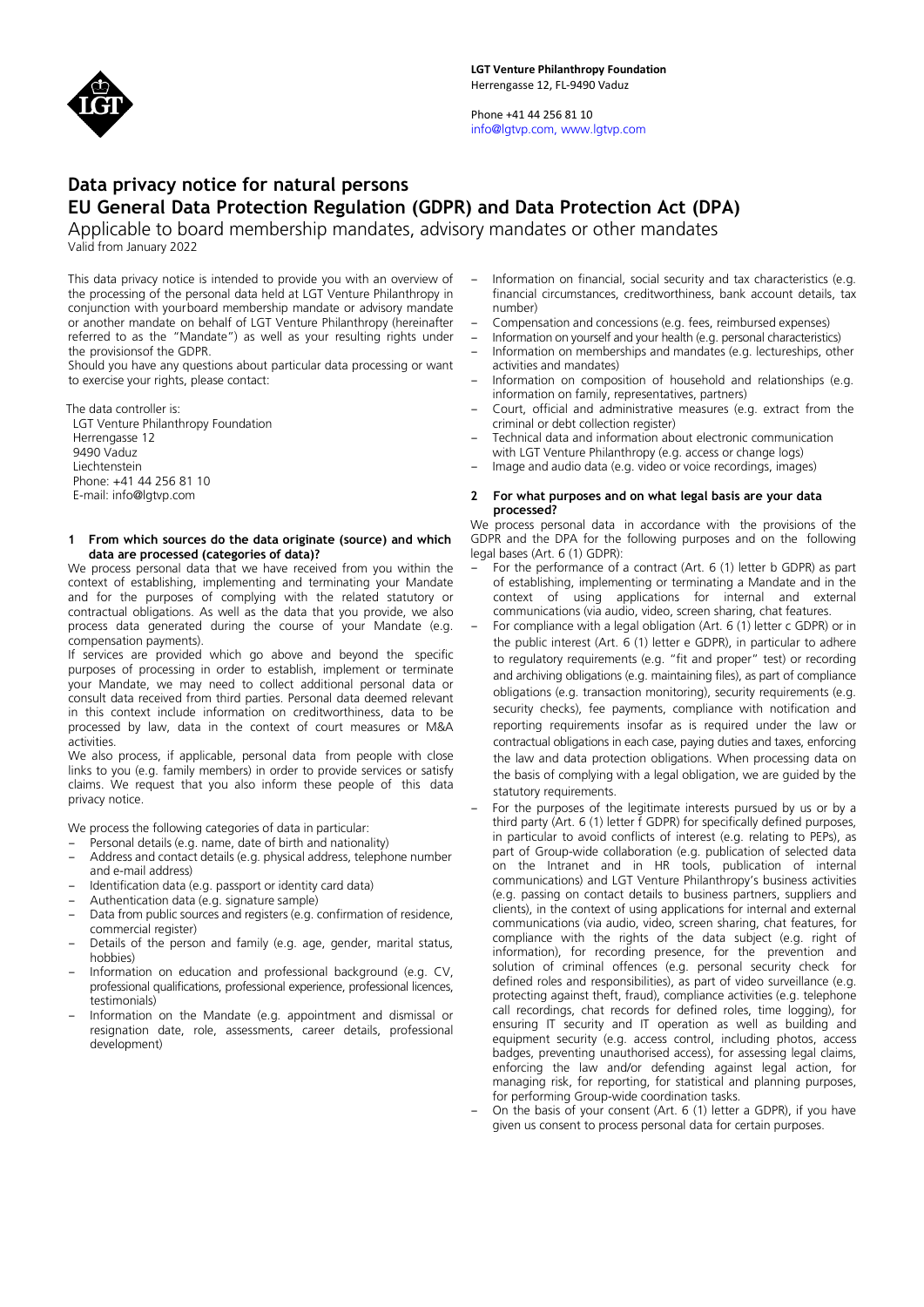

Phone +41 44 256 81 10 info@lgtvp.com, www.lgtvp.com

# **Data privacy notice for natural persons EU General Data Protection Regulation (GDPR) and Data Protection Act (DPA)**

Applicable to board membership mandates, advisory mandates or other mandates Valid from January 2022

This data privacy notice is intended to provide you with an overview of the processing of the personal data held at LGT Venture Philanthropy in conjunction with yourboard membership mandate or advisory mandate or another mandate on behalf of LGT Venture Philanthropy (hereinafter referred to as the "Mandate") as well as your resulting rights under the provisionsof the GDPR.

Should you have any questions about particular data processing or want to exercise your rights, please contact:

The data controller is:

LGT Venture Philanthropy Foundation Herrengasse 12 9490 Vaduz Liechtenstein Phone: +41 44 256 81 10 E-mail: info@lgtvp.com

#### **1 From which sources do the data originate (source) and which data are processed (categories of data)?**

We process personal data that we have received from you within the context of establishing, implementing and terminating your Mandate and for the purposes of complying with the related statutory or contractual obligations. As well as the data that you provide, we also process data generated during the course of your Mandate (e.g. compensation payments).

If services are provided which go above and beyond the specific purposes of processing in order to establish, implement or terminate your Mandate, we may need to collect additional personal data or consult data received from third parties. Personal data deemed relevant in this context include information on creditworthiness, data to be processed by law, data in the context of court measures or M&A activities.

We also process, if applicable, personal data from people with close links to you (e.g. family members) in order to provide services or satisfy claims. We request that you also inform these people of this data privacy notice.

We process the following categories of data in particular:

- Personal details (e.g. name, date of birth and nationality)
- Address and contact details (e.g. physical address, telephone number and e-mail address)
- Identification data (e.g. passport or identity card data)
- Authentication data (e.g. signature sample)
- Data from public sources and registers (e.g. confirmation of residence, commercial register)
- Details of the person and family (e.g. age, gender, marital status, hobbies)
- Information on education and professional background (e.g. CV, professional qualifications, professional experience, professional licences, testimonials)
- Information on the Mandate (e.g. appointment and dismissal or resignation date, role, assessments, career details, professional development)
- Information on financial, social security and tax characteristics (e.g. financial circumstances, creditworthiness, bank account details, tax number)
- Compensation and concessions (e.g. fees, reimbursed expenses)
- Information on yourself and your health (e.g. personal characteristics)
- Information on memberships and mandates (e.g. lectureships, other activities and mandates)
- Information on composition of household and relationships (e.g. information on family, representatives, partners)
- Court, official and administrative measures (e.g. extract from the criminal or debt collection register)
- Technical data and information about electronic communication with LGT Venture Philanthropy (e.g. access or change logs)
- Image and audio data (e.g. video or voice recordings, images)

#### **2 For what purposes and on what legal basis are your data processed?**

We process personal data in accordance with the provisions of the GDPR and the DPA for the following purposes and on the following legal bases (Art. 6 (1) GDPR):

- For the performance of a contract (Art. 6 (1) letter b GDPR) as part of establishing, implementing or terminating a Mandate and in the context of using applications for internal and external communications (via audio, video, screen sharing, chat features.
- For compliance with a legal obligation (Art. 6 (1) letter c GDPR) or in the public interest (Art. 6 (1) letter e GDPR), in particular to adhere to regulatory requirements (e.g. "fit and proper" test) or recording and archiving obligations (e.g. maintaining files), as part of compliance obligations (e.g. transaction monitoring), security requirements (e.g. security checks), fee payments, compliance with notification and reporting requirements insofar as is required under the law or contractual obligations in each case, paying duties and taxes, enforcing the law and data protection obligations. When processing data on the basis of complying with a legal obligation, we are guided by the statutory requirements.
- For the purposes of the legitimate interests pursued by us or by a third party (Art. 6 (1) letter f GDPR) for specifically defined purposes, in particular to avoid conflicts of interest (e.g. relating to PEPs), as part of Group-wide collaboration (e.g. publication of selected data on the Intranet and in HR tools, publication of internal communications) and LGT Venture Philanthropy's business activities (e.g. passing on contact details to business partners, suppliers and clients), in the context of using applications for internal and external communications (via audio, video, screen sharing, chat features, for compliance with the rights of the data subject (e.g. right of information), for recording presence, for the prevention and solution of criminal offences (e.g. personal security check for defined roles and responsibilities), as part of video surveillance (e.g. protecting against theft, fraud), compliance activities (e.g. telephone call recordings, chat records for defined roles, time logging), for ensuring IT security and IT operation as well as building and equipment security (e.g. access control, including photos, access badges, preventing unauthorised access), for assessing legal claims, enforcing the law and/or defending against legal action, for managing risk, for reporting, for statistical and planning purposes, for performing Group-wide coordination tasks.
- On the basis of your consent (Art. 6 (1) letter a GDPR), if you have given us consent to process personal data for certain purposes.